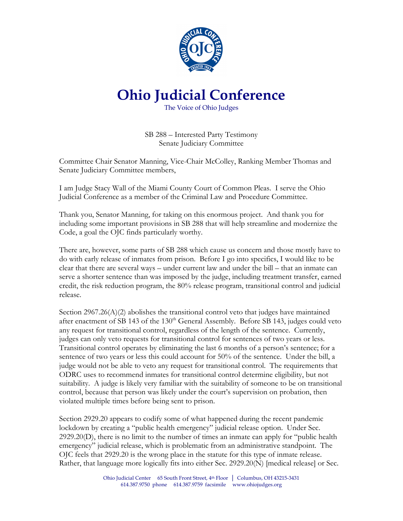

## **Ohio Judicial Conference**

The Voice of Ohio Judges

SB 288 – Interested Party Testimony Senate Judiciary Committee

Committee Chair Senator Manning, Vice-Chair McColley, Ranking Member Thomas and Senate Judiciary Committee members,

I am Judge Stacy Wall of the Miami County Court of Common Pleas. I serve the Ohio Judicial Conference as a member of the Criminal Law and Procedure Committee.

Thank you, Senator Manning, for taking on this enormous project. And thank you for including some important provisions in SB 288 that will help streamline and modernize the Code, a goal the OJC finds particularly worthy.

There are, however, some parts of SB 288 which cause us concern and those mostly have to do with early release of inmates from prison. Before I go into specifics, I would like to be clear that there are several ways – under current law and under the bill – that an inmate can serve a shorter sentence than was imposed by the judge, including treatment transfer, earned credit, the risk reduction program, the 80% release program, transitional control and judicial release.

Section  $2967.26(A)(2)$  abolishes the transitional control veto that judges have maintained after enactment of SB 143 of the  $130<sup>th</sup>$  General Assembly. Before SB 143, judges could veto any request for transitional control, regardless of the length of the sentence. Currently, judges can only veto requests for transitional control for sentences of two years or less. Transitional control operates by eliminating the last 6 months of a person's sentence; for a sentence of two years or less this could account for 50% of the sentence. Under the bill, a judge would not be able to veto any request for transitional control. The requirements that ODRC uses to recommend inmates for transitional control determine eligibility, but not suitability. A judge is likely very familiar with the suitability of someone to be on transitional control, because that person was likely under the court's supervision on probation, then violated multiple times before being sent to prison.

Section 2929.20 appears to codify some of what happened during the recent pandemic lockdown by creating a "public health emergency" judicial release option. Under Sec. 2929.20(D), there is no limit to the number of times an inmate can apply for "public health emergency" judicial release, which is problematic from an administrative standpoint. The OJC feels that 2929.20 is the wrong place in the statute for this type of inmate release. Rather, that language more logically fits into either Sec. 2929.20(N) [medical release] or Sec.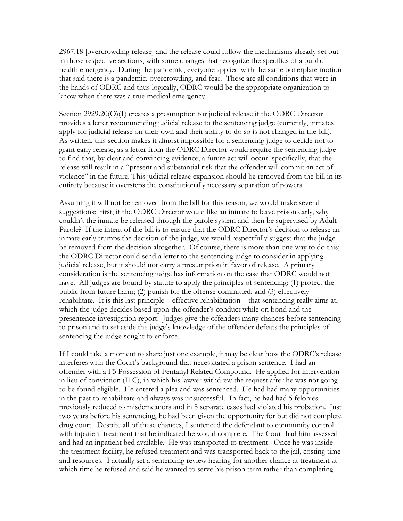2967.18 [overcrowding release] and the release could follow the mechanisms already set out in those respective sections, with some changes that recognize the specifics of a public health emergency. During the pandemic, everyone applied with the same boilerplate motion that said there is a pandemic, overcrowding, and fear. These are all conditions that were in the hands of ODRC and thus logically, ODRC would be the appropriate organization to know when there was a true medical emergency.

Section 2929.20(O)(1) creates a presumption for judicial release if the ODRC Director provides a letter recommending judicial release to the sentencing judge (currently, inmates apply for judicial release on their own and their ability to do so is not changed in the bill). As written, this section makes it almost impossible for a sentencing judge to decide not to grant early release, as a letter from the ODRC Director would require the sentencing judge to find that, by clear and convincing evidence, a future act will occur: specifically, that the release will result in a "present and substantial risk that the offender will commit an act of violence" in the future. This judicial release expansion should be removed from the bill in its entirety because it oversteps the constitutionally necessary separation of powers.

Assuming it will not be removed from the bill for this reason, we would make several suggestions: first, if the ODRC Director would like an inmate to leave prison early, why couldn't the inmate be released through the parole system and then be supervised by Adult Parole? If the intent of the bill is to ensure that the ODRC Director's decision to release an inmate early trumps the decision of the judge, we would respectfully suggest that the judge be removed from the decision altogether. Of course, there is more than one way to do this; the ODRC Director could send a letter to the sentencing judge to consider in applying judicial release, but it should not carry a presumption in favor of release. A primary consideration is the sentencing judge has information on the case that ODRC would not have. All judges are bound by statute to apply the principles of sentencing: (1) protect the public from future harm; (2) punish for the offense committed; and (3) effectively rehabilitate. It is this last principle – effective rehabilitation – that sentencing really aims at, which the judge decides based upon the offender's conduct while on bond and the presentence investigation report. Judges give the offenders many chances before sentencing to prison and to set aside the judge's knowledge of the offender defeats the principles of sentencing the judge sought to enforce.

If I could take a moment to share just one example, it may be clear how the ODRC's release interferes with the Court's background that necessitated a prison sentence. I had an offender with a F5 Possession of Fentanyl Related Compound. He applied for intervention in lieu of conviction (ILC), in which his lawyer withdrew the request after he was not going to be found eligible. He entered a plea and was sentenced. He had had many opportunities in the past to rehabilitate and always was unsuccessful. In fact, he had had 5 felonies previously reduced to misdemeanors and in 8 separate cases had violated his probation. Just two years before his sentencing, he had been given the opportunity for but did not complete drug court. Despite all of these chances, I sentenced the defendant to community control with inpatient treatment that he indicated he would complete. The Court had him assessed and had an inpatient bed available. He was transported to treatment. Once he was inside the treatment facility, he refused treatment and was transported back to the jail, costing time and resources. I actually set a sentencing review hearing for another chance at treatment at which time he refused and said he wanted to serve his prison term rather than completing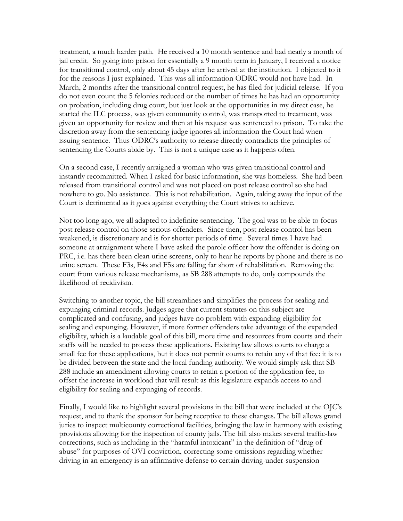treatment, a much harder path. He received a 10 month sentence and had nearly a month of jail credit. So going into prison for essentially a 9 month term in January, I received a notice for transitional control, only about 45 days after he arrived at the institution. I objected to it for the reasons I just explained. This was all information ODRC would not have had. In March, 2 months after the transitional control request, he has filed for judicial release. If you do not even count the 5 felonies reduced or the number of times he has had an opportunity on probation, including drug court, but just look at the opportunities in my direct case, he started the ILC process, was given community control, was transported to treatment, was given an opportunity for review and then at his request was sentenced to prison. To take the discretion away from the sentencing judge ignores all information the Court had when issuing sentence. Thus ODRC's authority to release directly contradicts the principles of sentencing the Courts abide by. This is not a unique case as it happens often.

On a second case, I recently arraigned a woman who was given transitional control and instantly recommitted. When I asked for basic information, she was homeless. She had been released from transitional control and was not placed on post release control so she had nowhere to go. No assistance. This is not rehabilitation. Again, taking away the input of the Court is detrimental as it goes against everything the Court strives to achieve.

Not too long ago, we all adapted to indefinite sentencing. The goal was to be able to focus post release control on those serious offenders. Since then, post release control has been weakened, is discretionary and is for shorter periods of time. Several times I have had someone at arraignment where I have asked the parole officer how the offender is doing on PRC, i.e. has there been clean urine screens, only to hear he reports by phone and there is no urine screen. These F3s, F4s and F5s are falling far short of rehabilitation. Removing the court from various release mechanisms, as SB 288 attempts to do, only compounds the likelihood of recidivism.

Switching to another topic, the bill streamlines and simplifies the process for sealing and expunging criminal records. Judges agree that current statutes on this subject are complicated and confusing, and judges have no problem with expanding eligibility for sealing and expunging. However, if more former offenders take advantage of the expanded eligibility, which is a laudable goal of this bill, more time and resources from courts and their staffs will be needed to process these applications. Existing law allows courts to charge a small fee for these applications, but it does not permit courts to retain any of that fee: it is to be divided between the state and the local funding authority. We would simply ask that SB 288 include an amendment allowing courts to retain a portion of the application fee, to offset the increase in workload that will result as this legislature expands access to and eligibility for sealing and expunging of records.

Finally, I would like to highlight several provisions in the bill that were included at the OJC's request, and to thank the sponsor for being receptive to these changes. The bill allows grand juries to inspect multicounty correctional facilities, bringing the law in harmony with existing provisions allowing for the inspection of county jails. The bill also makes several traffic-law corrections, such as including in the "harmful intoxicant" in the definition of "drug of abuse" for purposes of OVI conviction, correcting some omissions regarding whether driving in an emergency is an affirmative defense to certain driving-under-suspension